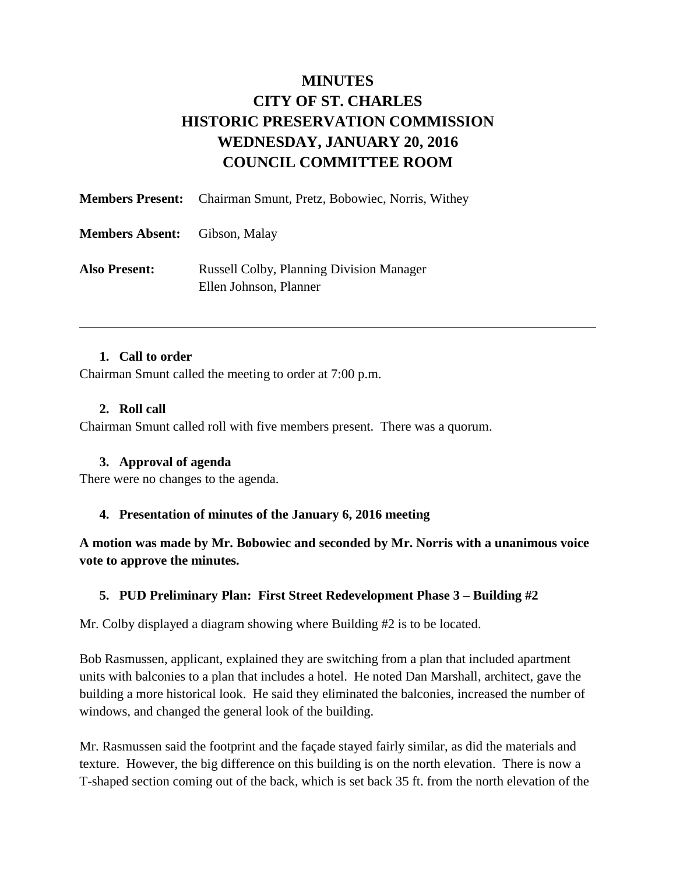# **MINUTES CITY OF ST. CHARLES HISTORIC PRESERVATION COMMISSION WEDNESDAY, JANUARY 20, 2016 COUNCIL COMMITTEE ROOM**

|                                      | <b>Members Present:</b> Chairman Smunt, Pretz, Bobowiec, Norris, Withey   |
|--------------------------------------|---------------------------------------------------------------------------|
| <b>Members Absent:</b> Gibson, Malay |                                                                           |
| <b>Also Present:</b>                 | <b>Russell Colby, Planning Division Manager</b><br>Ellen Johnson, Planner |

### **1. Call to order**

Chairman Smunt called the meeting to order at 7:00 p.m.

### **2. Roll call**

Chairman Smunt called roll with five members present. There was a quorum.

#### **3. Approval of agenda**

There were no changes to the agenda.

### **4. Presentation of minutes of the January 6, 2016 meeting**

**A motion was made by Mr. Bobowiec and seconded by Mr. Norris with a unanimous voice vote to approve the minutes.** 

### **5. PUD Preliminary Plan: First Street Redevelopment Phase 3 – Building #2**

Mr. Colby displayed a diagram showing where Building #2 is to be located.

Bob Rasmussen, applicant, explained they are switching from a plan that included apartment units with balconies to a plan that includes a hotel. He noted Dan Marshall, architect, gave the building a more historical look. He said they eliminated the balconies, increased the number of windows, and changed the general look of the building.

Mr. Rasmussen said the footprint and the façade stayed fairly similar, as did the materials and texture. However, the big difference on this building is on the north elevation. There is now a T-shaped section coming out of the back, which is set back 35 ft. from the north elevation of the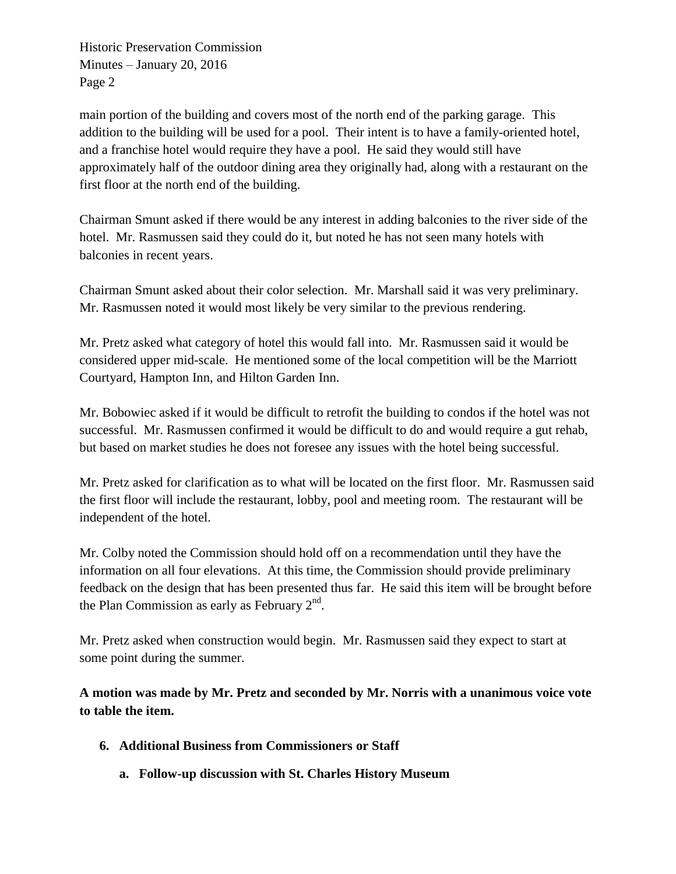main portion of the building and covers most of the north end of the parking garage. This addition to the building will be used for a pool. Their intent is to have a family-oriented hotel, and a franchise hotel would require they have a pool. He said they would still have approximately half of the outdoor dining area they originally had, along with a restaurant on the first floor at the north end of the building.

Chairman Smunt asked if there would be any interest in adding balconies to the river side of the hotel. Mr. Rasmussen said they could do it, but noted he has not seen many hotels with balconies in recent years.

Chairman Smunt asked about their color selection. Mr. Marshall said it was very preliminary. Mr. Rasmussen noted it would most likely be very similar to the previous rendering.

Mr. Pretz asked what category of hotel this would fall into. Mr. Rasmussen said it would be considered upper mid-scale. He mentioned some of the local competition will be the Marriott Courtyard, Hampton Inn, and Hilton Garden Inn.

Mr. Bobowiec asked if it would be difficult to retrofit the building to condos if the hotel was not successful. Mr. Rasmussen confirmed it would be difficult to do and would require a gut rehab, but based on market studies he does not foresee any issues with the hotel being successful.

Mr. Pretz asked for clarification as to what will be located on the first floor. Mr. Rasmussen said the first floor will include the restaurant, lobby, pool and meeting room. The restaurant will be independent of the hotel.

Mr. Colby noted the Commission should hold off on a recommendation until they have the information on all four elevations. At this time, the Commission should provide preliminary feedback on the design that has been presented thus far. He said this item will be brought before the Plan Commission as early as February  $2<sup>nd</sup>$ .

Mr. Pretz asked when construction would begin. Mr. Rasmussen said they expect to start at some point during the summer.

**A motion was made by Mr. Pretz and seconded by Mr. Norris with a unanimous voice vote to table the item.** 

- **6. Additional Business from Commissioners or Staff**
	- **a. Follow-up discussion with St. Charles History Museum**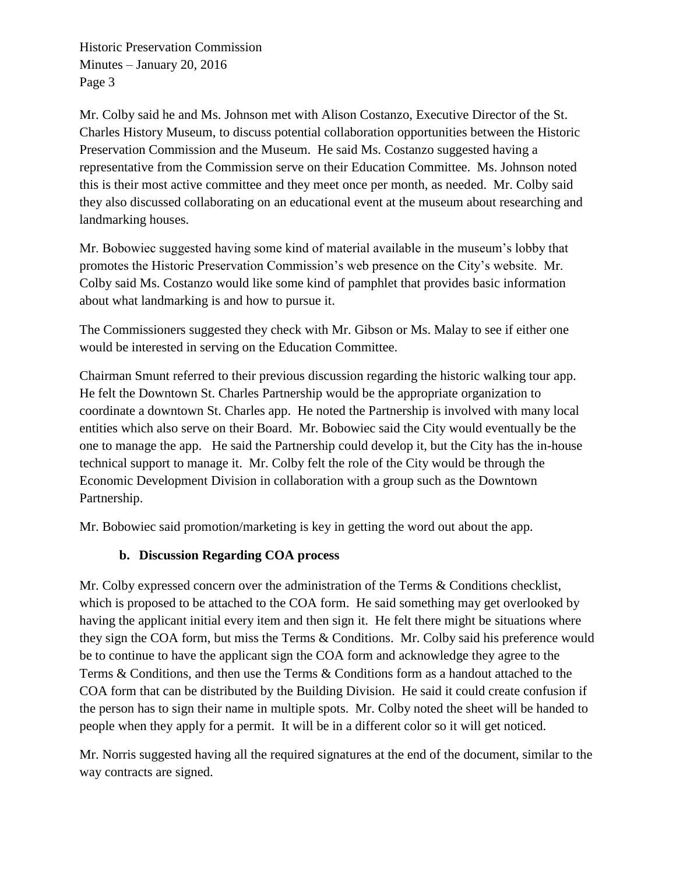Mr. Colby said he and Ms. Johnson met with Alison Costanzo, Executive Director of the St. Charles History Museum, to discuss potential collaboration opportunities between the Historic Preservation Commission and the Museum. He said Ms. Costanzo suggested having a representative from the Commission serve on their Education Committee. Ms. Johnson noted this is their most active committee and they meet once per month, as needed. Mr. Colby said they also discussed collaborating on an educational event at the museum about researching and landmarking houses.

Mr. Bobowiec suggested having some kind of material available in the museum's lobby that promotes the Historic Preservation Commission's web presence on the City's website. Mr. Colby said Ms. Costanzo would like some kind of pamphlet that provides basic information about what landmarking is and how to pursue it.

The Commissioners suggested they check with Mr. Gibson or Ms. Malay to see if either one would be interested in serving on the Education Committee.

Chairman Smunt referred to their previous discussion regarding the historic walking tour app. He felt the Downtown St. Charles Partnership would be the appropriate organization to coordinate a downtown St. Charles app. He noted the Partnership is involved with many local entities which also serve on their Board. Mr. Bobowiec said the City would eventually be the one to manage the app. He said the Partnership could develop it, but the City has the in-house technical support to manage it. Mr. Colby felt the role of the City would be through the Economic Development Division in collaboration with a group such as the Downtown Partnership.

Mr. Bobowiec said promotion/marketing is key in getting the word out about the app.

# **b. Discussion Regarding COA process**

Mr. Colby expressed concern over the administration of the Terms & Conditions checklist, which is proposed to be attached to the COA form. He said something may get overlooked by having the applicant initial every item and then sign it. He felt there might be situations where they sign the COA form, but miss the Terms & Conditions. Mr. Colby said his preference would be to continue to have the applicant sign the COA form and acknowledge they agree to the Terms & Conditions, and then use the Terms & Conditions form as a handout attached to the COA form that can be distributed by the Building Division. He said it could create confusion if the person has to sign their name in multiple spots. Mr. Colby noted the sheet will be handed to people when they apply for a permit. It will be in a different color so it will get noticed.

Mr. Norris suggested having all the required signatures at the end of the document, similar to the way contracts are signed.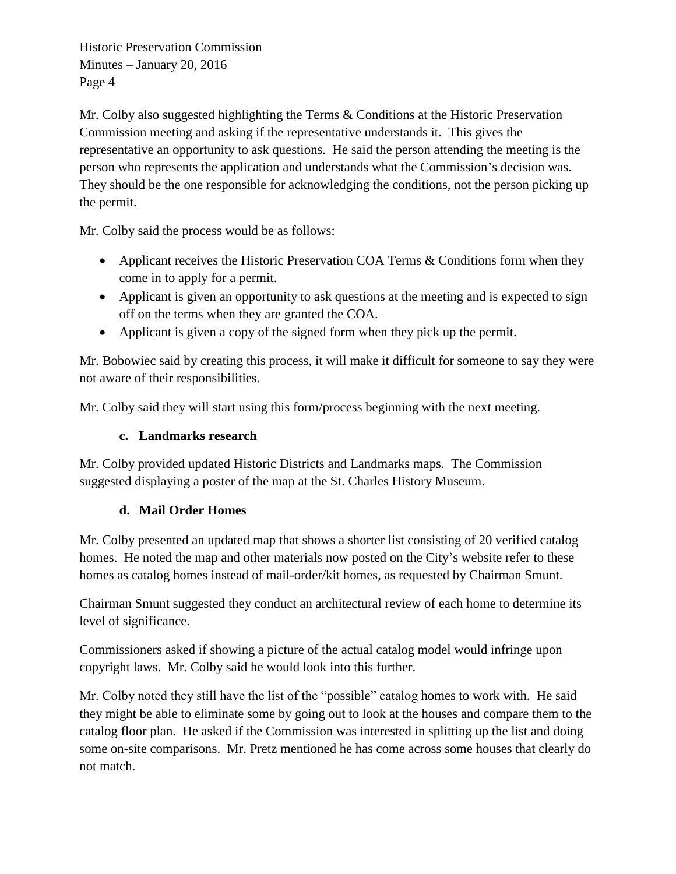Mr. Colby also suggested highlighting the Terms & Conditions at the Historic Preservation Commission meeting and asking if the representative understands it. This gives the representative an opportunity to ask questions. He said the person attending the meeting is the person who represents the application and understands what the Commission's decision was. They should be the one responsible for acknowledging the conditions, not the person picking up the permit.

Mr. Colby said the process would be as follows:

- Applicant receives the Historic Preservation COA Terms & Conditions form when they come in to apply for a permit.
- Applicant is given an opportunity to ask questions at the meeting and is expected to sign off on the terms when they are granted the COA.
- Applicant is given a copy of the signed form when they pick up the permit.

Mr. Bobowiec said by creating this process, it will make it difficult for someone to say they were not aware of their responsibilities.

Mr. Colby said they will start using this form/process beginning with the next meeting.

### **c. Landmarks research**

Mr. Colby provided updated Historic Districts and Landmarks maps. The Commission suggested displaying a poster of the map at the St. Charles History Museum.

## **d. Mail Order Homes**

Mr. Colby presented an updated map that shows a shorter list consisting of 20 verified catalog homes. He noted the map and other materials now posted on the City's website refer to these homes as catalog homes instead of mail-order/kit homes, as requested by Chairman Smunt.

Chairman Smunt suggested they conduct an architectural review of each home to determine its level of significance.

Commissioners asked if showing a picture of the actual catalog model would infringe upon copyright laws. Mr. Colby said he would look into this further.

Mr. Colby noted they still have the list of the "possible" catalog homes to work with. He said they might be able to eliminate some by going out to look at the houses and compare them to the catalog floor plan. He asked if the Commission was interested in splitting up the list and doing some on-site comparisons. Mr. Pretz mentioned he has come across some houses that clearly do not match.